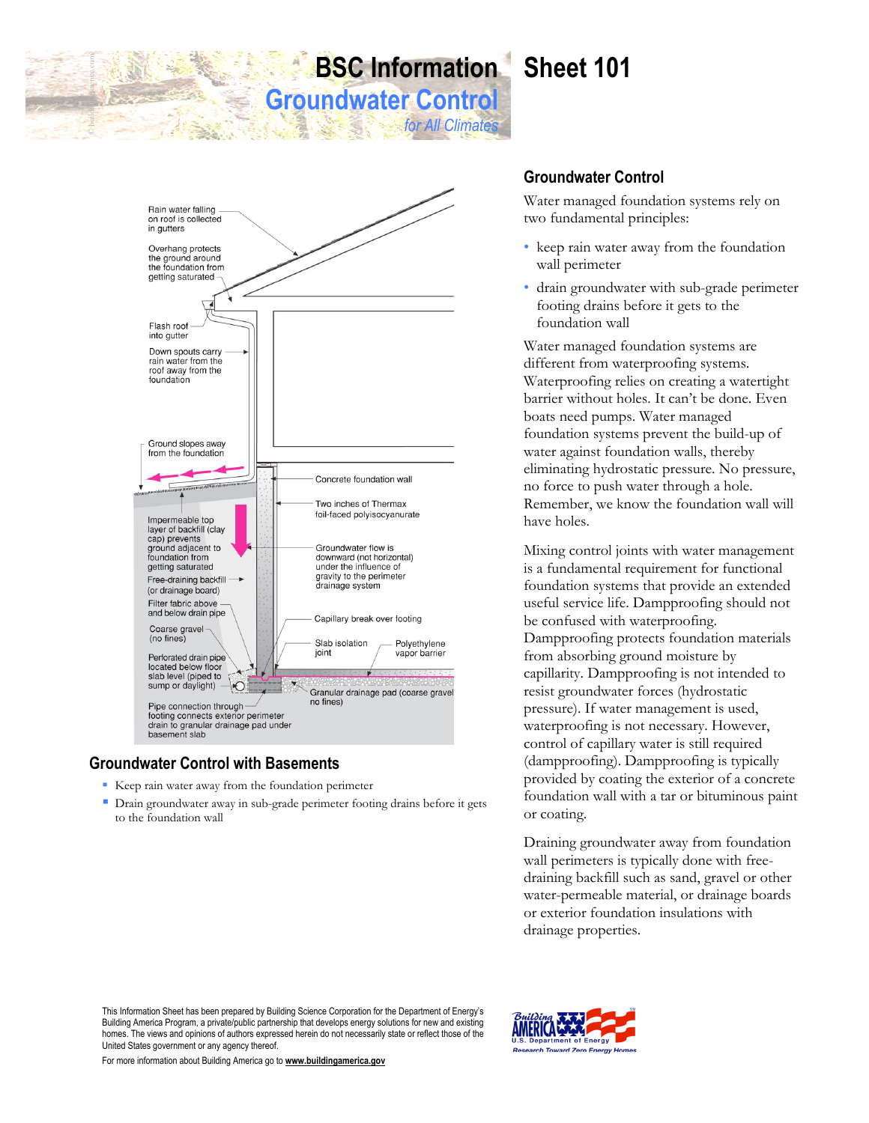# **BSC Information Sheet 101**

*for All Climates*

**Groundwater Control**



## **Groundwater Control with Basements**

© buildidingscience.com

- Keep rain water away from the foundation perimeter
- Drain groundwater away in sub-grade perimeter footing drains before it gets to the foundation wall

## **Groundwater Control**

Water managed foundation systems rely on two fundamental principles:

- keep rain water away from the foundation wall perimeter
- drain groundwater with sub-grade perimeter footing drains before it gets to the foundation wall

Water managed foundation systems are different from waterproofing systems. Waterproofing relies on creating a watertight barrier without holes. It can't be done. Even boats need pumps. Water managed foundation systems prevent the build-up of water against foundation walls, thereby eliminating hydrostatic pressure. No pressure, no force to push water through a hole. Remember, we know the foundation wall will have holes.

Mixing control joints with water management is a fundamental requirement for functional foundation systems that provide an extended useful service life. Dampproofing should not be confused with waterproofing. Dampproofing protects foundation materials from absorbing ground moisture by capillarity. Dampproofing is not intended to resist groundwater forces (hydrostatic pressure). If water management is used, waterproofing is not necessary. However, control of capillary water is still required (dampproofing). Dampproofing is typically provided by coating the exterior of a concrete foundation wall with a tar or bituminous paint or coating.

Draining groundwater away from foundation wall perimeters is typically done with freedraining backfill such as sand, gravel or other water-permeable material, or drainage boards or exterior foundation insulations with drainage properties.

This Information Sheet has been prepared by Building Science Corporation for the Department of Energy's Building America Program, a private/public partnership that develops energy solutions for new and existing homes. The views and opinions of authors expressed herein do not necessarily state or reflect those of the United States government or any agency thereof.

For more information about Building America go to **www.buildingamerica.gov**